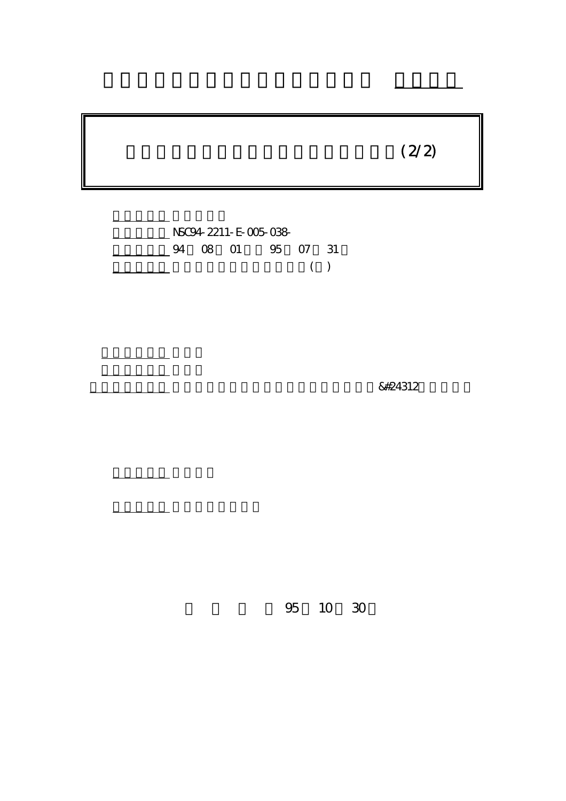# $(2/2)$



計畫主持人: 盧重興 부터 <u>대학 대학 대학</u>

報告類型: 完整報告

。<br>在前書 : 本計畫可公開查

行政院國家科學委員會專題研究計畫 成果報告

&#24312

95 10 30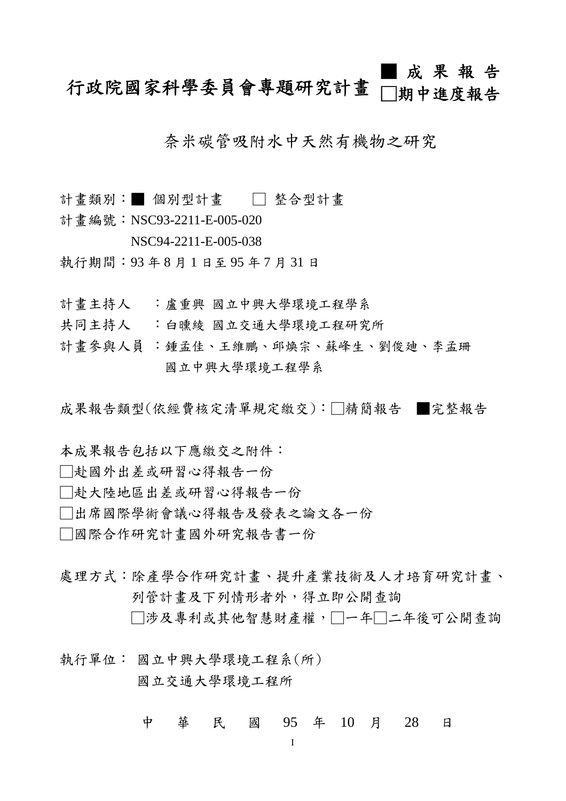#### 行政院國家科學委員會專題研究計畫 ■ 成 果 報 告 □期中進度報告

奈米碳管吸附水中天然有機物之研究

- 計畫類別:■ 個別型計畫 □ 整合型計畫
- 計書編號: NSC93-2211-E-005-020
	- NSC94-2211-E-005-038
- 執行期間:93 年 8 月 1 日至 95 年 7 月 31 日
- 計書主持人 :盧重興 國立中興大學環境工程學系
- 共同主持人 :白曛綾 國立交通大學環境工程研究所
- 計畫參與人員 :鍾孟佳、王維鵬、邱煥宗、蘇峰生、劉俊廸、李孟珊 國立中興大學環境工程學系

成果報告類型(依經費核定清單規定繳交):□精簡報告 ■完整報告

- 本成果報告包括以下應繳交之附件:
- □赴國外出差或研習心得報告一份
- □赴大陸地區出差或研習心得報告一份
- □出席國際學術會議心得報告及發表之論文各一份
- □國際合作研究計畫國外研究報告書一份
- 處理方式:除產學合作研究計畫、提升產業技術及人才培育研究計畫、 列管計畫及下列情形者外,得立即公開查詢
	- □涉及專利或其他智慧財產權,□一年□二年後可公開查詢
- 執行單位: 國立中興大學環境工程系(所) 國立交通大學環境工程所
	- 中 華 民 國 95 年 10 月 28 日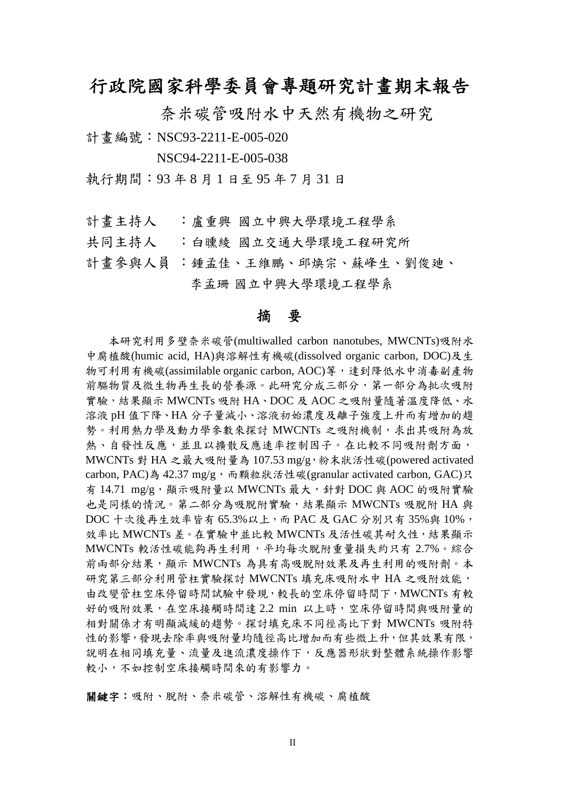# 行政院國家科學委員會專題研究計畫期末報告

奈米碳管吸附水中天然有機物之研究

計書編號: NSC93-2211-E-005-020

NSC94-2211-E-005-038

執行期間:93 年 8 月 1 日至 95 年 7 月 31 日

計書主持人 :盧重興 國立中興大學環境工程學系

共同主持人 :白曛綾 國立交通大學環境工程研究所

計書參與人員;鍾孟佳、王維鵬、邱煥宗、蘇峰生、劉俊廸、 李孟珊 國立中興大學環境工程學系

#### 摘 要

本研究利用多壁奈米碳管(multiwalled carbon nanotubes, MWCNTs)吸附水 中腐植酸(humic acid, HA)與溶解性有機碳(dissolved organic carbon, DOC)及生 物可利用有機碳(assimilable organic carbon, AOC)等,達到降低水中消毒副產物 前驅物質及微生物再生長的營養源。此研究分成三部分,第一部分為批次吸附 實驗,結果顯示 MWCNTs 吸附 HA、DOC 及 AOC 之吸附量隨著溫度降低、水 溶液 pH 值下降、HA 分子量減小、溶液初始濃度及離子強度上升而有增加的趨 勢。利用熱力學及動力學參數來探討 MWCNTs 之吸附機制,求出其吸附為放 熱、自發性反應,並且以擴散反應速率控制因子。在比較不同吸附劑方面, MWCNTs 對 HA 之最大吸附量為 107.53 mg/g,粉末狀活性碳(powered activated carbon, PAC)為 42.37 mg/g,而顆粒狀活性碳(granular activated carbon, GAC)只 有 14.71 mg/g,顯示吸附量以 MWCNTs 最大,針對 DOC 與 AOC 的吸附實驗 也是同樣的情況。第二部分為吸脫附實驗,結果顯示 MWCNTs 吸脫附 HA 與 DOC 十次後再生效率皆有 65.3%以上, 而 PAC 及 GAC 分別只有 35%與 10%, 效率比 MWCNTs 差。在實驗中並比較 MWCNTs 及活性碳其耐久性, 結果顯示 MWCNTs 較活性碳能夠再生利用,平均每次脫附重量損失約只有 2.7%。綜合 前兩部分結果,顯示 MWCNTs 為具有高吸脫附效果及再生利用的吸附劑。本 研究第三部分利用管柱實驗探討 MWCNTs 填充床吸附水中 HA 之吸附效能, 由改變管柱空床停留時間試驗中發現,較長的空床停留時間下,MWCNTs 有較 好的吸附效果,在空床接觸時間達 2.2 min 以上時,空床停留時間與吸附量的 相對關係才有明顯減緩的趨勢。探討填充床不同徑高比下對 MWCNTs 吸附特 性的影響,發現去除率與吸附量均隨徑高比增加而有些微上升,但其效果有限, 說明在相同填充量、流量及進流濃度操作下,反應器形狀對整體系統操作影響 較小,不如控制空床接觸時間來的有影響力。

關鍵字:吸附、脫附、奈米碳管、溶解性有機碳、腐植酸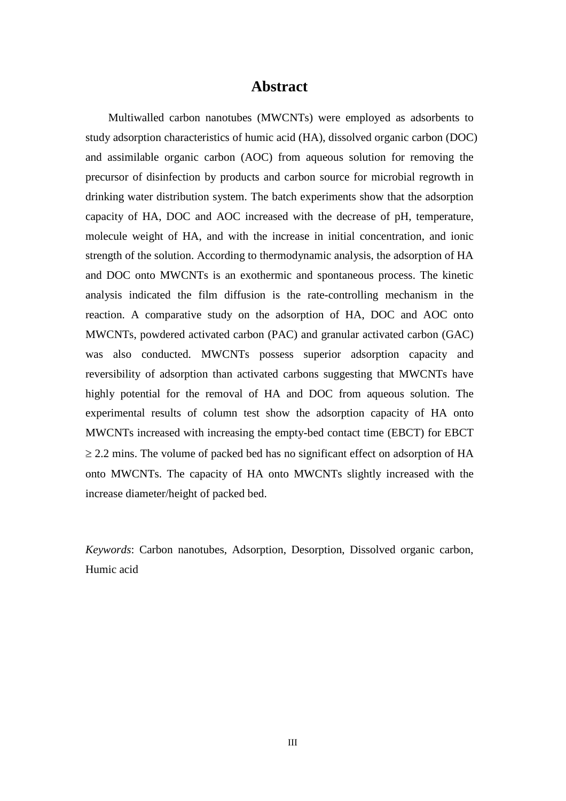## **Abstract**

Multiwalled carbon nanotubes (MWCNTs) were employed as adsorbents to study adsorption characteristics of humic acid (HA), dissolved organic carbon (DOC) and assimilable organic carbon (AOC) from aqueous solution for removing the precursor of disinfection by products and carbon source for microbial regrowth in drinking water distribution system. The batch experiments show that the adsorption capacity of HA, DOC and AOC increased with the decrease of pH, temperature, molecule weight of HA, and with the increase in initial concentration, and ionic strength of the solution. According to thermodynamic analysis, the adsorption of HA and DOC onto MWCNTs is an exothermic and spontaneous process. The kinetic analysis indicated the film diffusion is the rate-controlling mechanism in the reaction. A comparative study on the adsorption of HA, DOC and AOC onto MWCNTs, powdered activated carbon (PAC) and granular activated carbon (GAC) was also conducted. MWCNTs possess superior adsorption capacity and reversibility of adsorption than activated carbons suggesting that MWCNTs have highly potential for the removal of HA and DOC from aqueous solution. The experimental results of column test show the adsorption capacity of HA onto MWCNTs increased with increasing the empty-bed contact time (EBCT) for EBCT  $\geq$  2.2 mins. The volume of packed bed has no significant effect on adsorption of HA onto MWCNTs. The capacity of HA onto MWCNTs slightly increased with the increase diameter/height of packed bed.

*Keywords*: Carbon nanotubes, Adsorption, Desorption, Dissolved organic carbon, Humic acid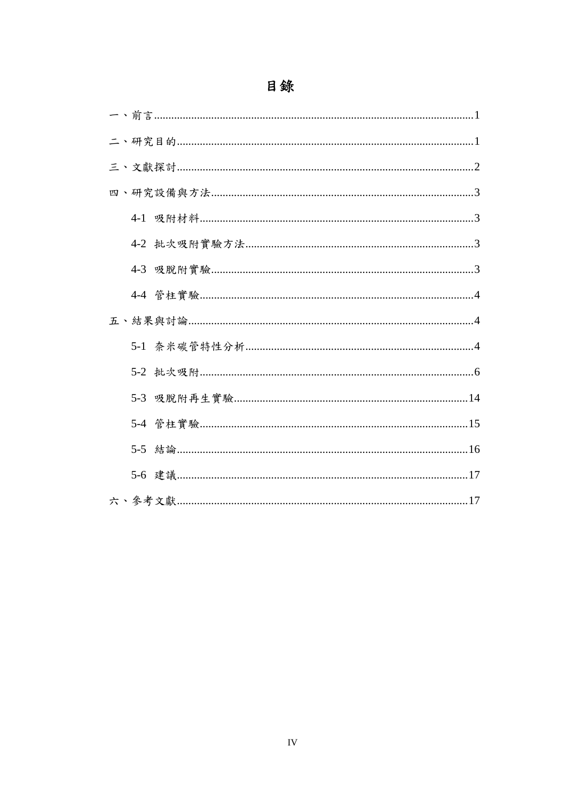# 目錄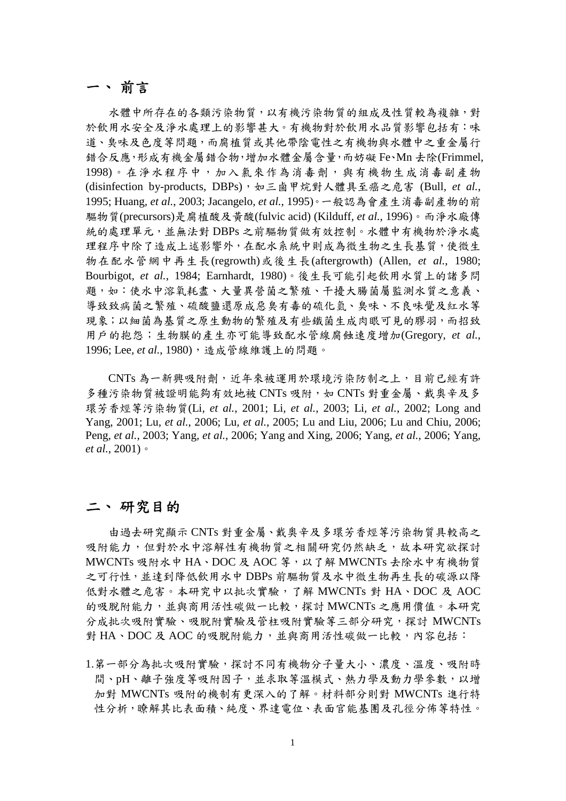## 一、 前言

水體中所存在的各類污染物質,以有機污染物質的組成及性質較為複雜,對 於飲用水安全及淨水處理上的影響甚大。有機物對於飲用水品質影響包括有:味 道、臭味及色度等問題,而腐植質或其他帶陰電性之有機物與水體中之重金屬行 錯合反應,形成有機金屬錯合物,增加水體金屬含量,而妨礙 Fe、Mn 去除(Frimmel, 1998)。在淨水程序中,加入氯來作為消毒劑,與有機物生成消毒副產物 (disinfection by-products, DBPs),如三鹵甲烷對人體具至癌之危害 (Bull*, et al.*, 1995; Huang*, et al.*, 2003; Jacangelo*, et al.*, 1995)。一般認為會產生消毒副產物的前 驅物質(precursors)是腐植酸及黃酸(fulvic acid) (Kilduff*, et al.*, 1996)。而淨水廠傳 統的處理單元,並無法對 DBPs 之前驅物質做有效控制。水體中有機物於淨水處 理程序中除了造成上述影響外,在配水系統中則成為微生物之生長基質,使微生 物在配水管網中再生長(regrowth)或後生長(aftergrowth) (Allen*, et al.*, 1980; Bourbigot*, et al.*, 1984; Earnhardt, 1980)。後生長可能引起飲用水質上的諸多問 題,如:使水中溶氧耗盡、大量異營菌之繁殖、干擾大腸菌屬監測水質之意義、 導致致病菌之繁殖、硫酸鹽還原成惡臭有毒的硫化氫、臭味、不良味覺及紅水等 現象;以細菌為基質之原生動物的繁殖及有些鐵菌生成肉眼可見的膠羽,而招致 用戶的抱怨;生物膜的產生亦可能導致配水管線腐蝕速度增加(Gregory*, et al.*, 1996; Lee, et al., 1980), 造成管線維護上的問題。

CNTs 為一新興吸附劑,近年來被運用於環境污染防制之上,目前已經有許 多種污染物質被證明能夠有效地被 CNTs 吸附,如 CNTs 對重金屬、戴奧辛及多 環芳香烴等污染物質(Li*, et al.*, 2001; Li*, et al.*, 2003; Li*, et al.*, 2002; Long and Yang, 2001; Lu*, et al.*, 2006; Lu*, et al.*, 2005; Lu and Liu, 2006; Lu and Chiu, 2006; Peng*, et al.*, 2003; Yang*, et al.*, 2006; Yang and Xing, 2006; Yang*, et al.*, 2006; Yang*, et al.*, 2001)。

## 二、 研究目的

由過去研究顯示 CNTs 對重金屬、戴奧辛及多環芳香烴等污染物質具較高之 吸附能力,但對於水中溶解性有機物質之相關研究仍然缺乏,故本研究欲探討 MWCNTs 吸附水中 HA、DOC 及 AOC 等, 以了解 MWCNTs 去除水中有機物質 之可行性,並達到降低飲用水中 DBPs 前驅物質及水中微生物再生長的碳源以降 低對水體之危害。本研究中以批次實驗,了解 MWCNTs 對 HA、DOC 及 AOC 的吸脫附能力,並與商用活性碳做一比較,探討 MWCNTs 之應用價值。本研究 分成批次吸附實驗、吸脫附實驗及管柱吸附實驗等三部分研究,探討 MWCNTs 對 HA、DOC 及 AOC 的吸脱附能力,並與商用活性碳做一比較,內容包括:

1.第一部分為批次吸附實驗,探討不同有機物分子量大小、濃度、溫度、吸附時 間、pH、離子強度等吸附因子,並求取等溫模式、熱力學及動力學參數,以增 加對 MWCNTs 吸附的機制有更深入的了解。材料部分則對 MWCNTs 進行特 性分析,瞭解其比表面積、純度、界達電位、表面官能基團及孔徑分佈等特性。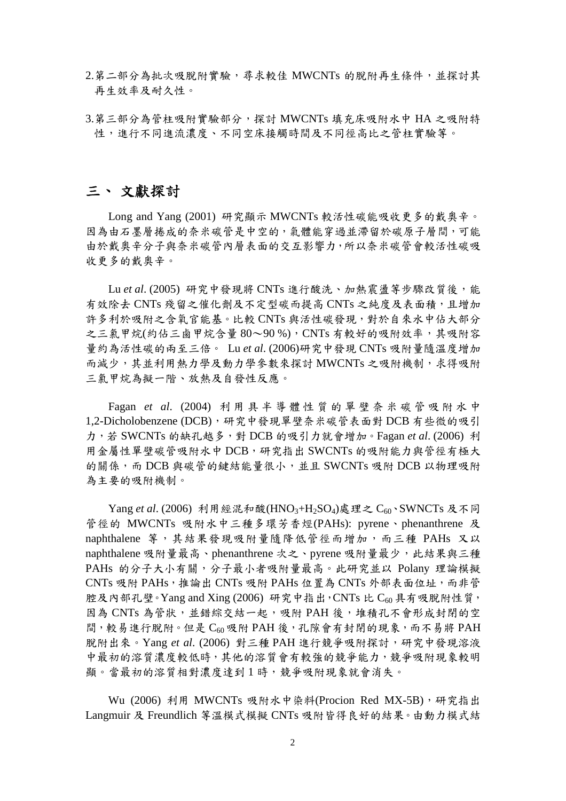- 2.第二部分為批次吸脫附實驗,尋求較佳 MWCNTs 的脫附再生條件,並探討其 再生效率及耐久性。
- 3.第三部分為管柱吸附實驗部分,探討 MWCNTs 填充床吸附水中 HA 之吸附特 性,進行不同進流濃度、不同空床接觸時間及不同徑高比之管柱實驗等。

## 三、 文獻探討

Long and Yang (2001) 研究顯示 MWCNTs 較活性碳能吸收更多的戴奧辛。 因為由石墨層捲成的奈米碳管是中空的,氣體能穿過並滯留於碳原子層間,可能 由於戴奧辛分子與奈米碳管內層表面的交互影響力,所以奈米碳管會較活性碳吸 收更多的戴奧辛。

Lu et al. (2005) 研究中發現將 CNTs 進行酸洗、加熱震盪等步驟改質後,能 有效除去 CNTs 殘留之催化劑及不定型碳而提高 CNTs 之純度及表面積,且增加 許多利於吸附之含氧官能基。比較 CNTs 與活性碳發現,對於自來水中佔大部分 之三氯甲烷(約佔三鹵甲烷含量80~90%), CNTs 有較好的吸附效率, 其吸附容 量約為活性碳的兩至三倍。 Lu *et al*. (2006)研究中發現 CNTs 吸附量隨溫度增加 而減少,其並利用熱力學及動力學參數來探討 MWCNTs 之吸附機制,求得吸附 三氯甲烷為擬一階、放熱及自發性反應。

Fagan *et al*. (2004) 利 用 具 半 導 體 性 質 的 單 壁 奈 米 碳 管 吸 附 水 中 1,2-Dicholobenzene (DCB),研究中發現單壁奈米碳管表面對 DCB 有些微的吸引 力,若 SWCNTs 的缺孔越多,對 DCB 的吸引力就會增加。Fagan *et al*. (2006) 利 用金屬性單壁碳管吸附水中 DCB,研究指出 SWCNTs 的吸附能力與管徑有極大 的關係,而 DCB 與碳管的鍵結能量很小,並且 SWCNTs 吸附 DCB 以物理吸附 為主要的吸附機制。

Yang *et al.* (2006) 利用經混和酸(HNO<sub>3</sub>+H<sub>2</sub>SO<sub>4</sub>)處理之 C<sub>60</sub>、SWNCTs 及不同 管徑的 MWCNTs 吸附水中三種多環芳香烴(PAHs): pyrene、phenanthrene 及 naphthalene 等, 其結果發現吸附量隨降低管徑而增加, 而三種 PAHs 又以 naphthalene 吸附量最高、phenanthrene 次之、pyrene 吸附量最少,此結果與三種 PAHs 的分子大小有關,分子最小者吸附量最高。此研究並以 Polany 理論模擬 CNTs 吸附 PAHs,推論出 CNTs 吸附 PAHs 位置為 CNTs 外部表面位址,而非管 腔及內部孔壁。Yang and Xing (2006) 研究中指出, CNTs 比  $C_{60}$ 具有吸脫附性質, 因為 CNTs 為管狀,並錯綜交結一起,吸附 PAH後,推積孔不會形成封閉的空 間,較易進行脫附。但是 C<sub>60</sub> 吸附 PAH 後,孔隙會有封閉的現象, 而不易將 PAH 脫附出來。Yang *et al*. (2006) 對三種 PAH 進行競爭吸附探討,研究中發現溶液 中最初的溶質濃度較低時,其他的溶質會有較強的競爭能力,競爭吸附現象較明 顯。當最初的溶質相對濃度達到 1 時,競爭吸附現象就會消失。

Wu (2006) 利用 MWCNTs 吸附水中染料(Procion Red MX-5B),研究指出 Langmuir 及 Freundlich 等溫模式模擬 CNTs 吸附皆得良好的結果。由動力模式結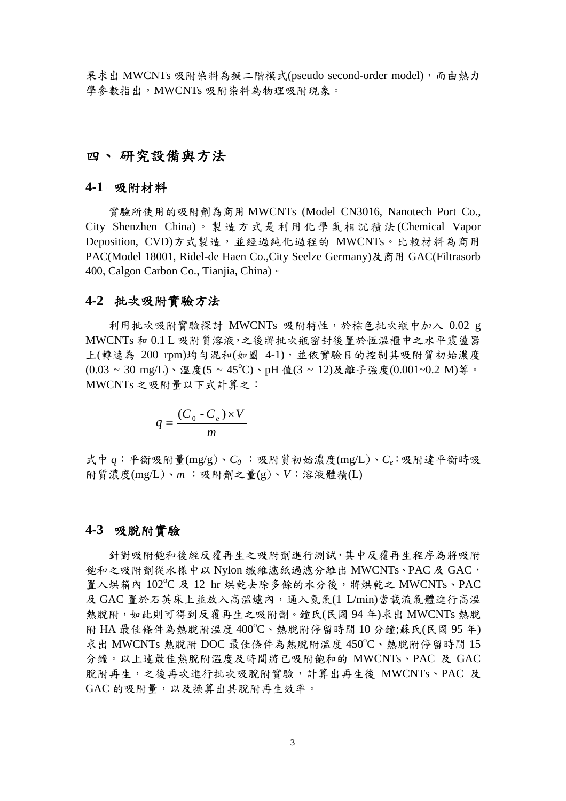果求出 MWCNTs 吸附染料為擬二階模式(pseudo second-order model),而由熱力 學參數指出,MWCNTs 吸附染料為物理吸附現象。

## 四、 研究設備與方法

#### **4-1** 吸附材料

實驗所使用的吸附劑為商用 MWCNTs (Model CN3016, Nanotech Port Co., City Shenzhen China) 。 製 造方 式是 利用化 學 氣相 沉積 法 (Chemical Vapor Deposition, CVD)方式製造,並經過純化過程的 MWCNTs。比較材料為商用 PAC(Model 18001, Ridel-de Haen Co.,City Seelze Germany)及商用 GAC(Filtrasorb 400, Calgon Carbon Co., Tianjia, China)。

#### **4-2** 批次吸附實驗方法

利用批次吸附實驗探討 MWCNTs 吸附特性,於棕色批次瓶中加入 0.02 g MWCNTs 和 0.1 L 吸附質溶液,之後將批次瓶密封後置於恆溫櫃中之水平震盪器 上(轉速為 200 rpm)均勻混和(如圖 4-1),並依實驗目的控制其吸附質初始濃度  $(0.03 \sim 30 \text{ mg/L}) \cdot \mathbb{Z}$ 度 $(5 \sim 45^{\circ}\text{C}) \cdot \text{pH}$ 值 $(3 \sim 12)\mathcal{R}$ 離子強度 $(0.001 \sim 0.2 \text{ M})$ 等。 MWCNTs 之吸附量以下式計算之:

$$
q = \frac{(C_0 - C_e) \times V}{m}
$$

式中 *q*:平衡吸附量(mg/g)、*C<sup>0</sup>* :吸附質初始濃度(mg/L)、*Ce*:吸附達平衡時吸 附質濃度(mg/L)、*m* :吸附劑之量(g)、*V*:溶液體積(L)

#### **4-3** 吸脫附實驗

針對吸附飽和後經反覆再生之吸附劑進行測試,其中反覆再生程序為將吸附 飽和之吸附劑從水樣中以 Nylon 纖維濾紙過濾分離出 MWCNTs、PAC 及 GAC, 置入烘箱內  $102^{\circ}\textrm{C}$  及  $12$  hr 烘乾去除多餘的水分後,將烘乾之 MWCNTs、PAC 及 GAC 置於石英床上並放入高溫爐內,通入氮氣(1 L/min)當載流氣體進行高溫 熱脫附,如此則可得到反覆再生之吸附劑。鐘氏(民國 94 年)求出 MWCNTs 熱脫 附 HA 最佳條件為熱脫附溫度 400℃、熱脫附停留時間 10 分鐘;蘇氏(民國 95年) 求出 MWCNTs 熱脫附 DOC 最佳條件為熱脫附溫度  $450^{\circ}$ C、熱脫附停留時間 15 分鐘。以上述最佳熱脫附溫度及時間將已吸附飽和的 MWCNTs、PAC 及 GAC 脫附再生,之後再次進行批次吸脫附實驗,計算出再生後 MWCNTs、PAC 及 GAC 的吸附量,以及換算出其脫附再生效率。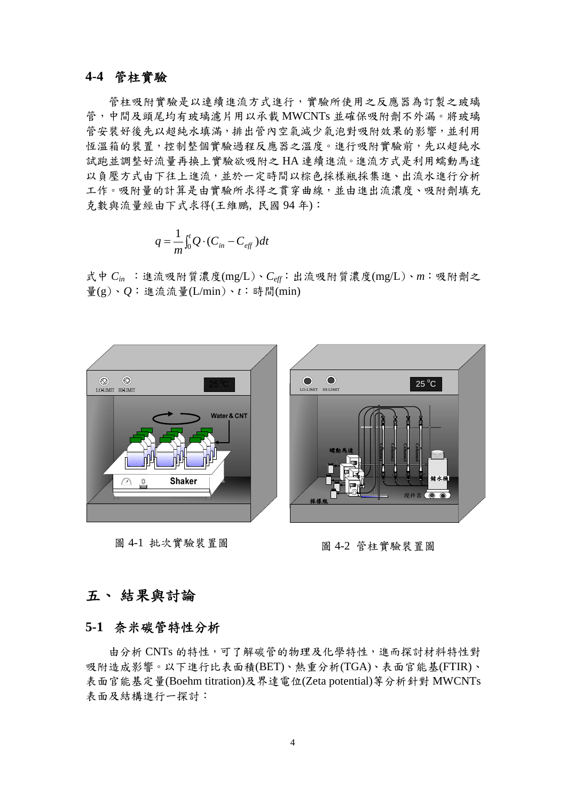#### **4-4** 管柱實驗

管柱吸附實驗是以連續進流方式進行,實驗所使用之反應器為訂製之玻璃 管,中間及頭尾均有玻璃濾片用以承載 MWCNTs 並確保吸附劑不外漏。將玻璃 管安裝好後先以超純水填滿,排出管內空氣減少氣泡對吸附效果的影響,並利用 恆溫箱的裝置,控制整個實驗過程反應器之溫度。進行吸附實驗前,先以超純水 試跑並調整好流量再換上實驗欲吸附之 HA 連續進流。進流方式是利用蠕動馬達 以負壓方式由下往上進流,並於一定時間以棕色採樣瓶採集進、出流水進行分析 工作。吸附量的計算是由實驗所求得之貫穿曲線,並由進出流濃度、吸附劑填充 克數與流量經由下式求得(王維鵬, 民國 94 年):

$$
q = \frac{1}{m} \int_0^t Q \cdot (C_{in} - C_{\text{eff}}) dt
$$

式中 *Cin* :進流吸附質濃度(mg/L)、*Ceff*:出流吸附質濃度(mg/L)、*m*:吸附劑之 量(g)、*Q*:進流流量(L/min)、*t*:時間(min)



圖 4-1 批次實驗裝置圖

圖 4-2 管柱實驗裝置圖

### 五、 結果與討論

## **5-1** 奈米碳管特性分析

由分析 CNTs 的特性,可了解碳管的物理及化學特性,進而探討材料特性對 吸附造成影響。以下進行比表面積(BET)、熱重分析(TGA)、表面官能基(FTIR)、 表面官能基定量(Boehm titration)及界達電位(Zeta potential)等分析針對 MWCNTs 表面及結構進行一探討: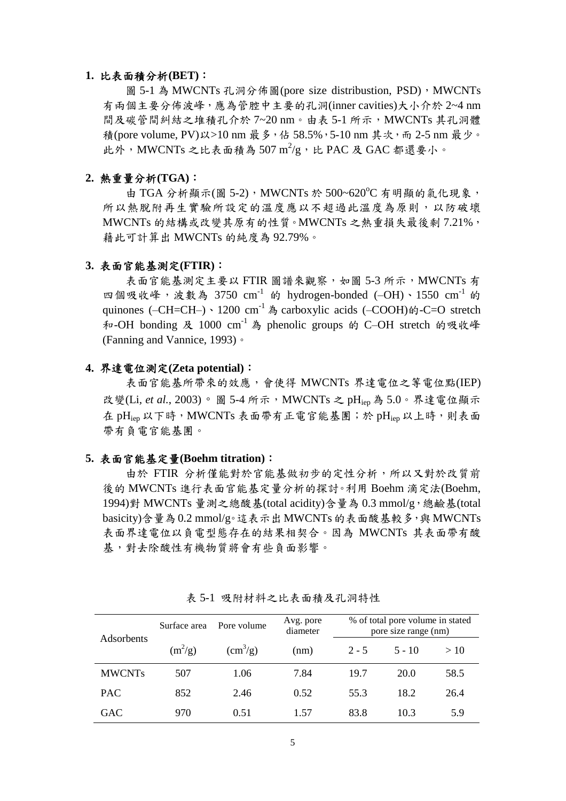#### **1.** 比表面積分析**(BET)**:

圖 5-1 為 MWCNTs 孔洞分佈圖(pore size distribustion, PSD), MWCNTs 有兩個主要分佈波峰,應為管腔中主要的孔洞(inner cavities)大小介於 2~4 nm 間及碳管間糾結之堆積孔介於 7~20 nm。由表 5-1 所示, MWCNTs 其孔洞體 積(pore volume, PV)以>10 nm 最多, 佔 58.5%, 5-10 nm 其次, 而 2-5 nm 最少。 此外, MWCNTs 之比表面積為 507m<sup>2</sup>/g, 比 PAC 及 GAC 都還要小。

#### **2.** 熱重量分析**(TGA)**:

由 TGA 分析顯示(圖 5-2), MWCNTs 於 500~620°C 有明顯的氣化現象, 所以熱脫附再生實驗所設定的溫度應以不超過此溫度為原則,以防破壞 MWCNTs 的結構或改變其原有的性質。MWCNTs 之熱重損失最後剩 7.21%, 藉此可計算出 MWCNTs 的純度為 92.79%。

#### **3.** 表面官能基測定**(FTIR)**:

表面官能基測定主要以 FTIR 圖譜來觀察,如圖 5-3 所示, MWCNTs 有 四個吸收峰,波數為 3750 cm<sup>-1</sup> 的 hydrogen-bonded (-OH)、1550 cm<sup>-1</sup> 的 quinones (–CH=CH–)、1200 cm<sup>-1</sup> 為 carboxylic acids (–COOH)的-C=O stretch 和-OH bonding 及 1000 cm<sup>-1</sup> 為 phenolic groups 的 C-OH stretch 的吸收峰 (Fanning and Vannice, 1993)。

#### **4.** 界達電位測定**(Zeta potential)**:

表面官能基所帶來的效應,會使得 MWCNTs 界達電位之等電位點(IEP) 改變(Li, et al., 2003)。圖 5-4 所示, MWCNTs 之 pHiep 為 5.0。界達電位顯示 在 pH<sub>iep</sub> 以下時, MWCNTs 表面帶有正電官能基團;於 pH<sub>iep</sub> 以上時,則表面 帶有負電官能基團。

#### **5.** 表面官能基定量**(Boehm titration)**:

由於 FTIR 分析僅能對於官能基做初步的定性分析,所以又對於改質前 後的 MWCNTs 進行表面官能基定量分析的探討。利用 Boehm 滴定法(Boehm, 1994)對 MWCNTs 量測之總酸基(total acidity)含量為 0.3 mmol/g,總鹼基(total basicity)含量為0.2 mmol/g。這表示出MWCNTs的表面酸基較多,與MWCNTs 表面界達電位以負電型態存在的結果相契合。因為 MWCNTs 其表面帶有酸 基,對去除酸性有機物質將會有些負面影響。

|               | Pore volume<br>Surface area |                | Avg. pore<br>diameter | % of total pore volume in stated<br>pore size range (nm) |          |      |  |
|---------------|-----------------------------|----------------|-----------------------|----------------------------------------------------------|----------|------|--|
| Adsorbents    | $(m^2/g)$                   | $\rm (cm^3/g)$ | (nm)                  | $2 - 5$                                                  | $5 - 10$ | >10  |  |
| <b>MWCNTs</b> | 507                         | 1.06           | 7.84                  | 19.7                                                     | 20.0     | 58.5 |  |
| <b>PAC</b>    | 852                         | 2.46           | 0.52                  | 55.3                                                     | 18.2     | 26.4 |  |
| <b>GAC</b>    | 970                         | 0.51           | 1.57                  | 83.8                                                     | 10.3     | 5.9  |  |

表 5-1 吸附材料之比表面積及孔洞特性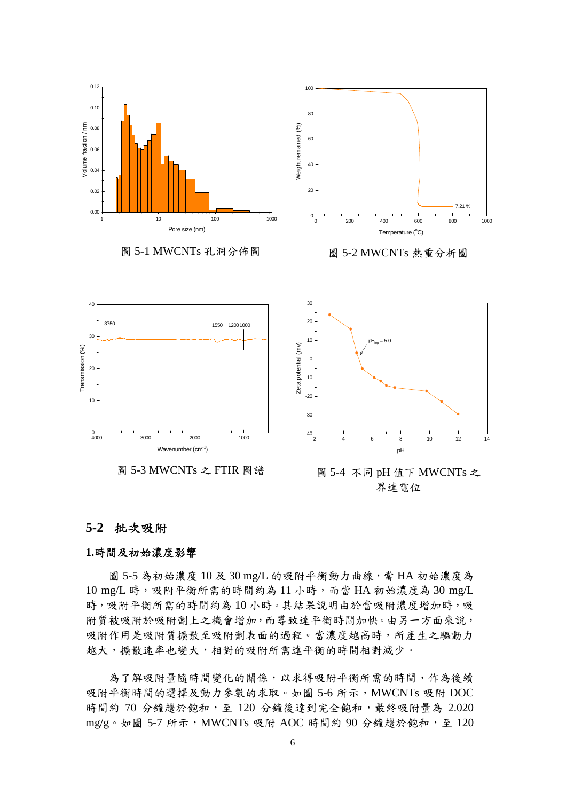



#### **5-2** 批次吸附

#### **1.**時間及初始濃度影響

圖 5-5 為初始濃度 10 及 30 mg/L 的吸附平衡動力曲線,當 HA 初始濃度為 10 mg/L 時,吸附平衡所需的時間約為 11 小時,而當 HA 初始濃度為 30 mg/L 時,吸附平衡所需的時間約為10小時。其結果說明由於當吸附濃度增加時,吸 附質被吸附於吸附劑上之機會增加,而導致達平衡時間加快。由另一方面來說, 吸附作用是吸附質擴散至吸附劑表面的過程。當濃度越高時,所產生之驅動力 越大,擴散速率也變大,相對的吸附所需達平衡的時間相對減少。

為了解吸附量隨時間變化的關係,以求得吸附平衡所需的時間,作為後續 吸附平衡時間的選擇及動力參數的求取。如圖 5-6 所示, MWCNTs 吸附 DOC 時間約 70 分鐘趨於飽和,至 120 分鐘後達到完全飽和,最終吸附量為 2.020 mg/g。如圖 5-7 所示, MWCNTs 吸附 AOC 時間約 90 分鐘趨於飽和, 至 120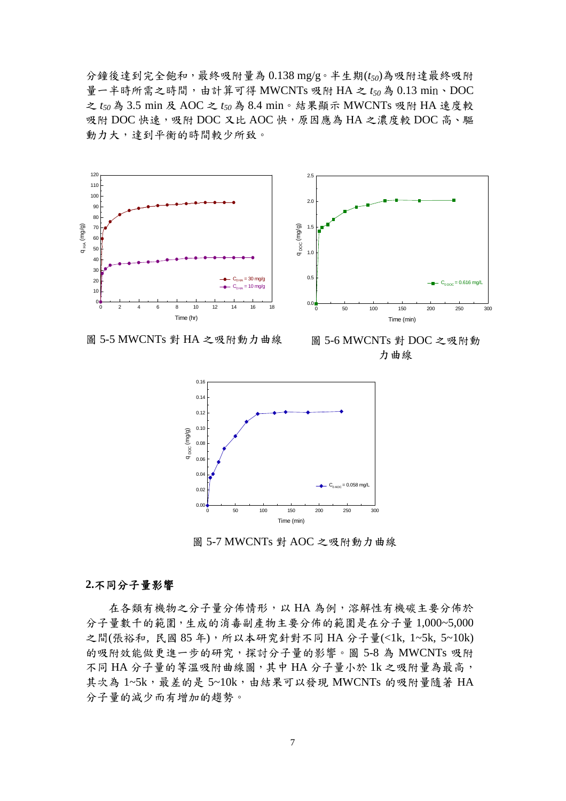分鐘後達到完全飽和,最終吸附量為 0.138 mg/g。半生期(*t50*)為吸附達最終吸附 量一半時所需之時間,由計算可得 MWCNTs 吸附 HA 之 *t<sup>50</sup>* 為 0.13 min、DOC 之 *t<sup>50</sup>* 為 3.5 min 及 AOC 之 *t<sup>50</sup>* 為 8.4 min。結果顯示 MWCNTs 吸附 HA 速度較 吸附 DOC 快速,吸附 DOC 又比 AOC 快,原因應為 HA 之濃度較 DOC 高、驅 動力大,達到平衡的時間較少所致。



圖 5-5 MWCNTs 對 HA 之吸附動力曲線

圖 5-6 MWCNTs 對 DOC 之吸附動 力曲線



圖 5-7 MWCNTs 對 AOC 之吸附動力曲線

#### **2.**不同分子量影響

在各類有機物之分子量分佈情形,以 HA 為例,溶解性有機碳主要分佈於 分子量數千的範圍,生成的消毒副產物主要分佈的範圍是在分子量 1,000~5,000 之間(張裕和, 民國 85年), 所以本研究針對不同 HA 分子量(<1k, 1~5k, 5~10k) 的吸附效能做更進一步的研究,探討分子量的影響。圖 5-8 為 MWCNTs 吸附 不同 HA 分子量的等溫吸附曲線圖,其中 HA 分子量小於 1k 之吸附量為最高, 其次為 1~5k,最差的是 5~10k,由結果可以發現 MWCNTs 的吸附量隨著 HA 分子量的減少而有增加的趨勢。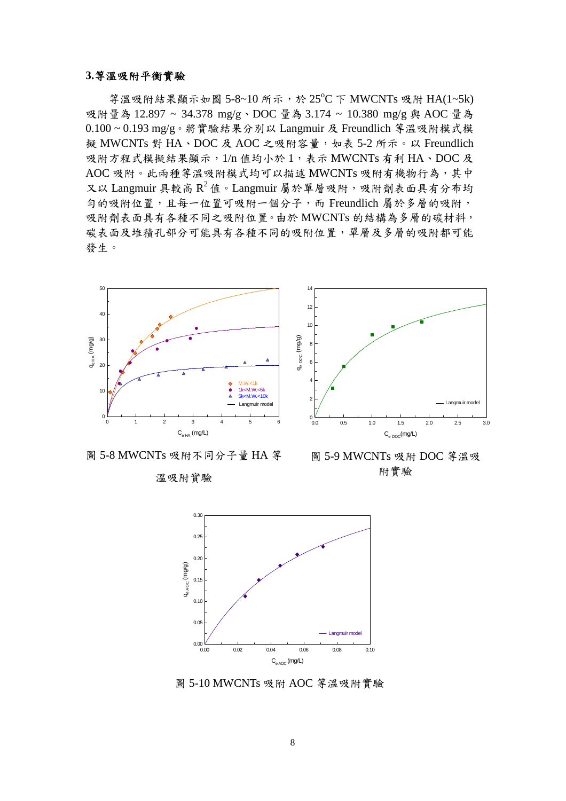#### **3.**等溫吸附平衡實驗

等溫吸附結果顯示如圖 5-8~10 所示,於 25°C 下 MWCNTs 吸附 HA(1~5k) 吸附量為 12.897 ~ 34.378 mg/g、DOC 量為 3.174 ~ 10.380 mg/g 與 AOC 量為 0.100 ~ 0.193 mg/g。將實驗結果分別以 Langmuir 及 Freundlich 等溫吸附模式模 擬 MWCNTs 對 HA、DOC 及 AOC 之吸附容量,如表 5-2 所示。以 Freundlich 吸附方程式模擬結果顯示,1/n 值均小於 1,表示 MWCNTs 有利 HA、DOC 及 AOC 吸附。此兩種等溫吸附模式均可以描述 MWCNTs 吸附有機物行為,其中 又以 Langmuir 具較高  $R^2$  值。Langmuir 屬於單層吸附, 吸附劑表面具有分布均 勻的吸附位置,且每一位置可吸附一個分子,而 Freundlich 屬於多層的吸附, 吸附劑表面具有各種不同之吸附位置。由於 MWCNTs 的結構為多層的碳材料, 碳表面及堆積孔部分可能具有各種不同的吸附位置,單層及多層的吸附都可能 發生。

14



圖 5-8 MWCNTs 吸附不同分子量 HA 等

#### 溫吸附實驗

 $C_{\rm e,DC}$ (mg/L) 0.0 0.5 1.0 1.5 2.0 2.5 3.0 qe DOC (mg/g)  $0.0$ 2 4 6 8 10 12 Langmuir model

圖 5-9 MWCNTs 吸附 DOC 等溫吸 附實驗



圖 5-10 MWCNTs 吸附 AOC 等溫吸附實驗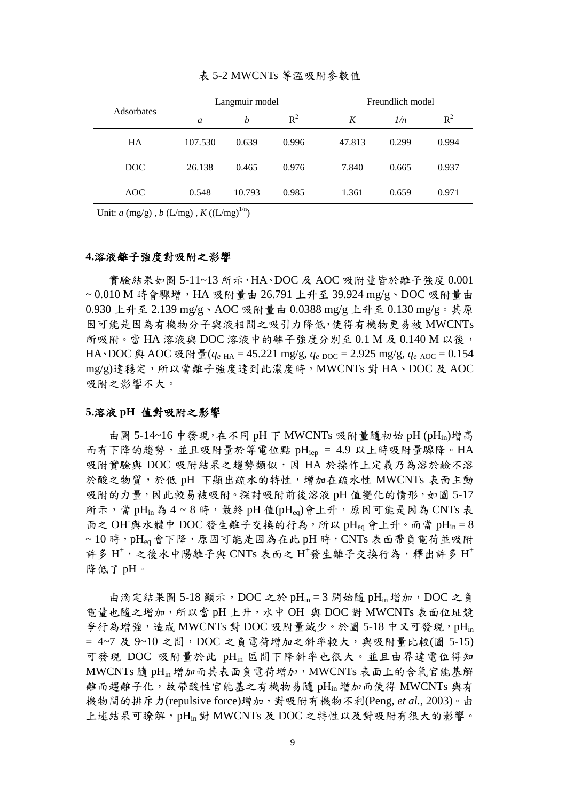| Adsorbates |         | Langmuir model |       |        | Freundlich model |       |  |
|------------|---------|----------------|-------|--------|------------------|-------|--|
|            | a       | b              | $R^2$ | K      | 1/n              | $R^2$ |  |
| HA         | 107.530 | 0.639          | 0.996 | 47.813 | 0.299            | 0.994 |  |
| DOC        | 26.138  | 0.465          | 0.976 | 7.840  | 0.665            | 0.937 |  |
| AOC        | 0.548   | 10.793         | 0.985 | 1.361  | 0.659            | 0.971 |  |

#### 表 5-2 MWCNTs 等溫吸附參數值

Unit:  $a \, (\text{mg/g})$ ,  $b \, (\text{L/mg})$ ,  $K \, ((\text{L/mg})^{1/n})$ 

#### **4.**溶液離子強度對吸附之影響

實驗結果如圖 5-11~13 所示,HA、DOC 及 AOC 吸附量皆於離子強度 0.001 ~ 0.010 M 時會驟增,HA 吸附量由 26.791 上升至 39.924 mg/g、DOC 吸附量由 0.930 上升至 2.139 mg/g、AOC 吸附量由 0.0388 mg/g 上升至 0.130 mg/g。其原 因可能是因為有機物分子與液相間之吸引力降低,使得有機物更易被 MWCNTs 所吸附。當 HA 溶液與 DOC 溶液中的離子強度分別至  $0.1$  M 及  $0.140$  M 以後, HA、DOC 與 AOC 吸附量( $q_e$ <sub>HA</sub> = 45.221 mg/g,  $q_e$ <sub>DOC</sub> = 2.925 mg/g,  $q_e$ <sub>AOC</sub> = 0.154 mg/g)達穩定,所以當離子強度達到此濃度時,MWCNTs 對 HA、DOC 及 AOC 吸附之影響不大。

#### **5.**溶液 **pH** 值對吸附之影響

由圖 5-14~16 中發現,在不同 pH 下 MWCNTs 吸附量隨初始 pH (pH<sub>in</sub>)增高 而有下降的趨勢,並且吸附量於等電位點 pH<sub>iep</sub> = 4.9 以上時吸附量驟降。HA 吸附實驗與 DOC 吸附結果之趨勢類似,因 HA 於操作上定義乃為溶於鹼不溶 於酸之物質,於低 pH 下顯出疏水的特性,增加在疏水性 MWCNTs 表面主動 吸附的力量,因此較易被吸附。探討吸附前後溶液 pH 值變化的情形, 如圖 5-17 所示,當 pH<sub>in</sub>為 4~8時,最終 pH 值(pHeg)會上升,原因可能是因為 CNTs 表 面之 OH 與水體中 DOC 發生離子交換的行為,所以 pHeq 會上升。而當 pH<sub>in</sub> = 8  $\sim$  10 時, pHeq 會下降, 原因可能是因為在此 pH 時, CNTs 表面帶負電荷並吸附 許多 H<sup>+</sup>,之後水中陽離子與 CNTs 表面之 H<sup>+</sup>發生離子交換行為,釋出許多 H<sup>+</sup> 降低了 pH。

由滴定結果圖 5-18 顯示, DOC 之於 pH<sub>in</sub> = 3 開始隨 pH<sub>in</sub> 增加, DOC 之負 電量也隨之增加,所以當 pH 上升,水中 OH-與 DOC 對 MWCNTs 表面位址競 爭行為增強,造成 MWCNTs 對 DOC 吸附量減少。於圖 5-18 中又可發現, pH<sub>in</sub>  $= 4$ ~7 及 9~10 之間,  $DOC \geq \hat{\theta}$  電荷增加之斜率較大, 與吸附量比較(圖 5-15) 可發現 DOC 吸附量於此 pHin 區間下降斜率也很大。並且由界達電位得知 MWCNTs 隨 pHin 增加而其表面負電荷增加,MWCNTs 表面上的含氧官能基解 離而趨離子化,故帶酸性官能基之有機物易隨 pHin 增加而使得 MWCNTs 與有 機物間的排斥力(repulsive force)增加,對吸附有機物不利(Peng*, et al.*, 2003)。由 上述結果可瞭解,pHin對 MWCNTs 及 DOC 之特性以及對吸附有很大的影響。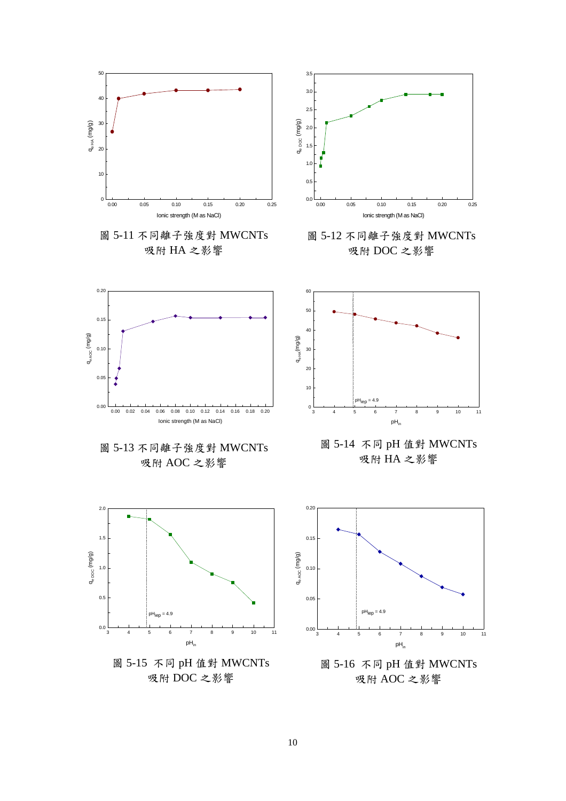

10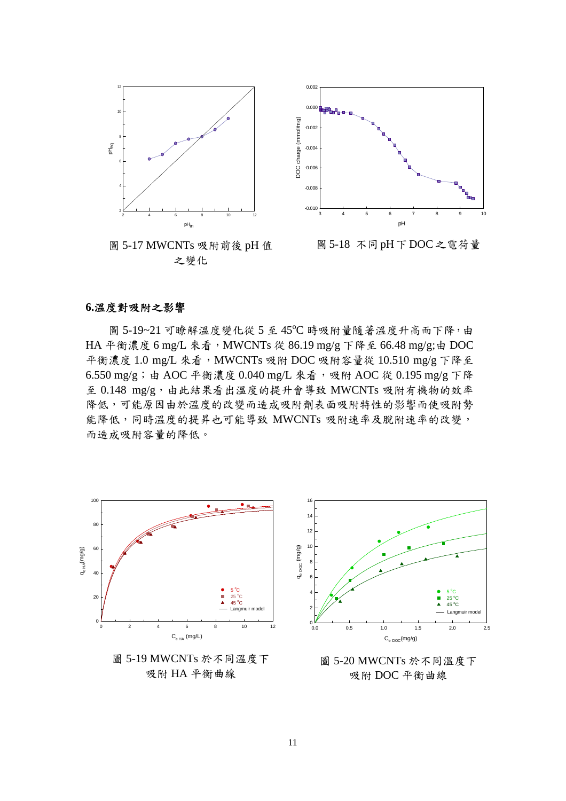

圖 5-17 MWCNTs 吸附前後 pH 值 之變化



圖5-18 不同pH下DOC之電荷量

#### **6.**溫度對吸附之影響

圖 5-19~21 可瞭解溫度變化從 5 至 45°C 時吸附量隨著溫度升高而下降,由 HA 平衡濃度 6 mg/L 來看, MWCNTs 從 86.19 mg/g 下降至 66.48 mg/g;由 DOC 平衡濃度 1.0 mg/L 來看, MWCNTs 吸附 DOC 吸附容量從 10.510 mg/g 下降至 6.550 mg/g; 由 AOC 平衡濃度 0.040 mg/L 來看,吸附 AOC 從 0.195 mg/g 下降 至 0.148 mg/g,由此結果看出溫度的提升會導致 MWCNTs 吸附有機物的效率 降低,可能原因由於溫度的改變而造成吸附劑表面吸附特性的影響而使吸附勢 能降低,同時溫度的提昇也可能導致 MWCNTs 吸附速率及脫附速率的改變, 而造成吸附容量的降低。



圖 5-19 MWCNTs 於不同溫度下 吸附 HA 平衡曲線



圖 5-20 MWCNTs 於不同溫度下 吸附 DOC 平衡曲線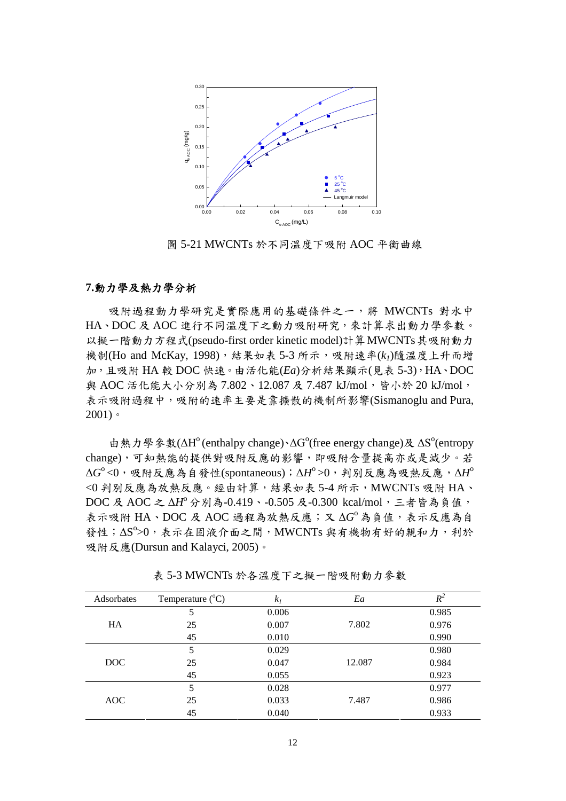

圖 5-21 MWCNTs 於不同溫度下吸附 AOC 平衡曲線

#### **7.**動力學及熱力學分析

吸附過程動力學研究是實際應用的基礎條件之一,將 MWCNTs 對水中 HA、DOC 及 AOC 進行不同溫度下之動力吸附研究,來計算求出動力學參數。 以擬一階動力方程式(pseudo-first order kinetic model)計算MWCNTs其吸附動力 機制(Ho and McKay, 1998),結果如表 5-3 所示,吸附速率(*k1*)隨溫度上升而增 加,且吸附 HA 較 DOC 快速。由活化能(*Ea*)分析結果顯示(見表 5-3),HA、DOC 與 AOC 活化能大小分別為 7.802、12.087 及 7.487 kJ/mol, 皆小於 20 kJ/mol, 表示吸附過程中,吸附的速率主要是靠擴散的機制所影響(Sismanoglu and Pura,  $2001$ )。

由熱力學參數(ΔH<sup>o</sup> (enthalpy change)、ΔG<sup>o</sup>(free energy change)及 ΔS<sup>o</sup>(entropy change),可知熱能的提供對吸附反應的影響,即吸附含量提高亦或是減少。若  $\Delta G^{\rm o}$ <0,吸附反應為自發性(spontaneous); $\Delta H^{\rm o}$ >0,判別反應為吸熱反應, $\Delta H^{\rm o}$ <0 判別反應為放熱反應。經由計算,結果如表 5-4 所示,MWCNTs 吸附 HA、 DOC 及 AOC 之 ΔH<sup>o</sup> 分別為-0.419、-0.505 及-0.300 kcal/mol, 三者皆為負值, 表示吸附 HA、DOC 及 AOC 過程為放熱反應;又 ΔG<sup>o</sup>為負值,表示反應為自 發性; ΔS°>0,表示在固液介面之間, MWCNTs 與有機物有好的親和力, 利於 吸附反應(Dursun and Kalayci, 2005)。

| Adsorbates | Temperature $(^{\circ}C)$ | k <sub>I</sub> | Ea     | $R^2$ |
|------------|---------------------------|----------------|--------|-------|
|            | 5                         | 0.006          |        | 0.985 |
| <b>HA</b>  | 25                        | 0.007          | 7.802  | 0.976 |
|            | 45                        | 0.010          |        | 0.990 |
|            | 5                         | 0.029          |        | 0.980 |
| DOC        | 25                        | 0.047          | 12.087 | 0.984 |
|            | 45                        | 0.055          |        | 0.923 |
|            | 5                         | 0.028          |        | 0.977 |
| <b>AOC</b> | 25                        | 0.033          | 7.487  | 0.986 |
|            | 45                        | 0.040          |        | 0.933 |

表 5-3 MWCNTs 於各溫度下之擬一階吸附動力參數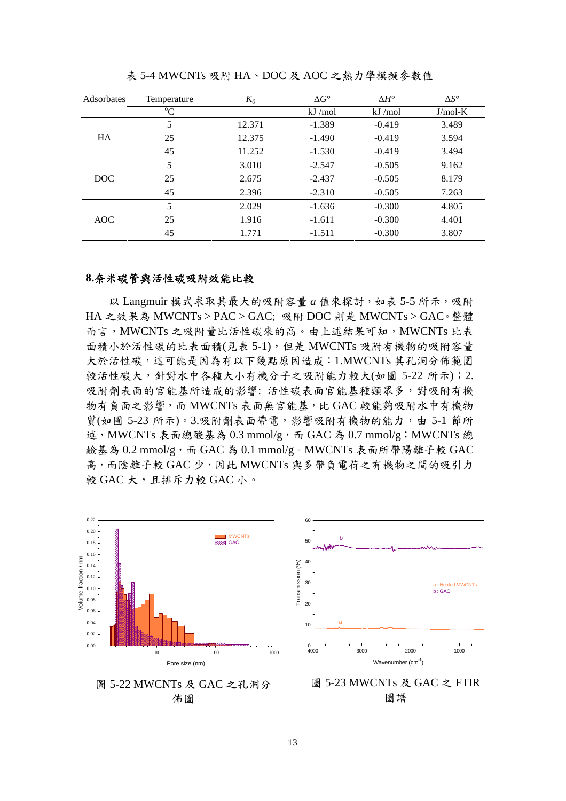| Adsorbates | Temperature | $K_0$  | $\Delta G^{\circ}$ | $\Delta H^{\circ}$ | $\Delta S^{\circ}$ |
|------------|-------------|--------|--------------------|--------------------|--------------------|
|            | $\rm ^{o}C$ |        | kJ/mol             | kJ/mol             | $J/mol-K$          |
|            | 5           | 12.371 | $-1.389$           | $-0.419$           | 3.489              |
| <b>HA</b>  | 25          | 12.375 | $-1.490$           | $-0.419$           | 3.594              |
|            | 45          | 11.252 | $-1.530$           | $-0.419$           | 3.494              |
|            | 5           | 3.010  | $-2.547$           | $-0.505$           | 9.162              |
| DOC.       | 25          | 2.675  | $-2.437$           | $-0.505$           | 8.179              |
|            | 45          | 2.396  | $-2.310$           | $-0.505$           | 7.263              |
|            | 5           | 2.029  | $-1.636$           | $-0.300$           | 4.805              |
| <b>AOC</b> | 25          | 1.916  | $-1.611$           | $-0.300$           | 4.401              |
|            | 45          | 1.771  | $-1.511$           | $-0.300$           | 3.807              |

表 5-4 MWCNTs 吸附 HA、DOC 及 AOC 之熱力學模擬參數值

#### **8.**奈米碳管與活性碳吸附效能比較

以 Langmuir 模式求取其最大的吸附容量 a 值來探討, 如表 5-5 所示, 吸附 HA 之效果為 MWCNTs > PAC > GAC; 吸附 DOC 則是 MWCNTs > GAC。整體 而言,MWCNTs 之吸附量比活性碳來的高。由上述結果可知,MWCNTs 比表 面積小於活性碳的比表面積(見表 5-1),但是 MWCNTs 吸附有機物的吸附容量 大於活性碳,這可能是因為有以下幾點原因造成:1.MWCNTs 其孔洞分佈範圍 較活性碳大,針對水中各種大小有機分子之吸附能力較大(如圖 5-22 所示);2. 吸附劑表面的官能基所造成的影響: 活性碳表面官能基種類眾多,對吸附有機 物有負面之影響,而 MWCNTs 表面無官能基,比 GAC 較能夠吸附水中有機物 質(如圖 5-23 所示)。3.吸附劑表面帶電,影響吸附有機物的能力,由 5-1 節所 述, MWCNTs 表面總酸基為 0.3 mmol/g, 而 GAC 為 0.7 mmol/g; MWCNTs 總 鹼基為 0.2 mmol/g,而 GAC 為 0.1 mmol/g。MWCNTs 表面所帶陽離子較 GAC 高,而陰離子較 GAC 少,因此 MWCNTs 與多帶負電荷之有機物之間的吸引力 較 GAC 大,且排斥力較 GAC 小。



圖 5-22 MWCNTs 及 GAC 之孔洞分 佈圖



圖 5-23 MWCNTs 及 GAC 之 FTIR 圖譜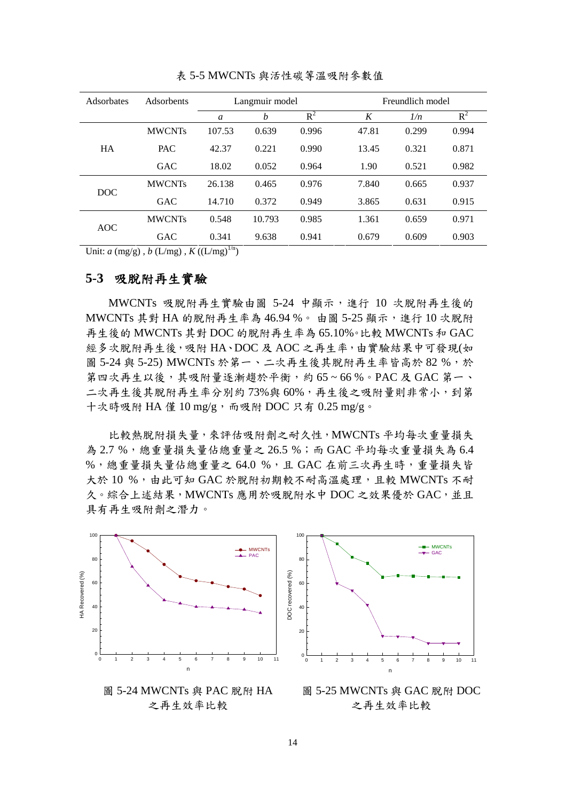| Adsorbates | Adsorbents    | Langmuir model |        |       |       | Freundlich model |       |  |
|------------|---------------|----------------|--------|-------|-------|------------------|-------|--|
|            |               | a              | b      | $R^2$ | K     | 1/n              | $R^2$ |  |
|            | <b>MWCNTs</b> | 107.53         | 0.639  | 0.996 | 47.81 | 0.299            | 0.994 |  |
| <b>HA</b>  | <b>PAC</b>    | 42.37          | 0.221  | 0.990 | 13.45 | 0.321            | 0.871 |  |
|            | <b>GAC</b>    | 18.02          | 0.052  | 0.964 | 1.90  | 0.521            | 0.982 |  |
| <b>DOC</b> | <b>MWCNTs</b> | 26.138         | 0.465  | 0.976 | 7.840 | 0.665            | 0.937 |  |
|            | <b>GAC</b>    | 14.710         | 0.372  | 0.949 | 3.865 | 0.631            | 0.915 |  |
| <b>AOC</b> | <b>MWCNTs</b> | 0.548          | 10.793 | 0.985 | 1.361 | 0.659            | 0.971 |  |
|            | GAC           | 0.341          | 9.638  | 0.941 | 0.679 | 0.609            | 0.903 |  |

表 5-5 MWCNTs 與活性碳等溫吸附參數值

Unit:  $a \, (\text{mg/g})$ ,  $b \, (\text{L/mg})$ ,  $K \, ((\text{L/mg})^{1/n})$ 

#### **5-3** 吸脫附再生實驗

MWCNTs 吸脫附再生實驗由圖 5-24 中顯示,進行 10 次脫附再生後的 MWCNTs 其對 HA 的脫附再生率為 46.94%。 由圖 5-25 顯示,進行 10 次脫附 再生後的 MWCNTs 其對 DOC 的脫附再生率為 65.10%。比較 MWCNTs 和 GAC 經多次脫附再生後,吸附 HA、DOC 及 AOC 之再生率,由實驗結果中可發現(如 圖 5-24 與 5-25) MWCNTs 於第一、二次再生後其脫附再生率皆高於 82 %,於 第四次再生以後,其吸附量逐漸趨於平衡,約 65~66%。PAC及 GAC 第一、 二次再生後其脫附再生率分別約 73%與 60%,再生後之吸附量則非常小,到第 十次時吸附 HA 僅 10 mg/g, 而吸附 DOC 只有 0.25 mg/g。

比較熱脫附損失量,來評估吸附劑之耐久性,MWCNTs 平均每次重量損失 為 2.7 %,總重量損失量佔總重量之 26.5 %;而 GAC 平均每次重量損失為 6.4 %,總重量損失量佔總重量之 64.0 %,且 GAC 在前三次再生時,重量損失皆 大於 10 %,由此可知 GAC 於脫附初期較不耐高溫處理,且較 MWCNTs 不耐 久。綜合上述結果,MWCNTs 應用於吸脫附水中 DOC 之效果優於 GAC,並且 具有再生吸附劑之潛力。





圖 5-25 MWCNTs 與 GAC 脫附 DOC 之再生效率比較

圖 5-24 MWCNTs 與 PAC 脫附 HA 之再生效率比較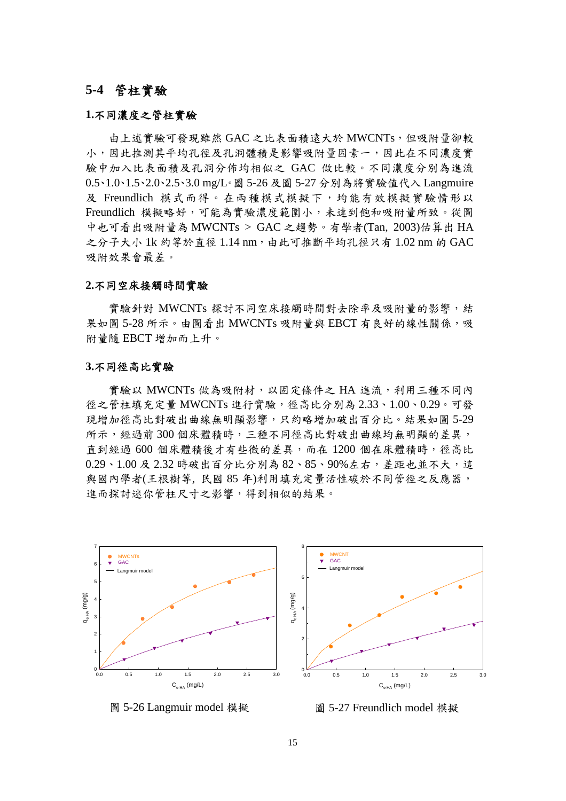### **5-4** 管柱實驗

#### **1.**不同濃度之管柱實驗

由上述實驗可發現雖然 GAC 之比表面積遠大於 MWCNTs,但吸附量卻較 小,因此推測其平均孔徑及孔洞體積是影響吸附量因素一,因此在不同濃度實 驗中加入比表面積及孔洞分佈均相似之 GAC 做比較。不同濃度分別為進流 0.5、1.0、1.5、2.0、2.5、3.0 mg/L。圖 5-26 及圖 5-27 分別為將實驗值代入 Langmuire 及 Freundlich 模式而得。在兩種模式模擬下,均能有效模擬實驗情形以 Freundlich 模擬略好,可能為實驗濃度範圍小,未達到飽和吸附量所致。從圖 中也可看出吸附量為 MWCNTs > GAC 之趨勢。有學者(Tan, 2003)估算出 HA 之分子大小 1k 約等於直徑 1.14 nm,由此可推斷平均孔徑只有 1.02 nm 的 GAC 吸附效果會最差。

#### **2.**不同空床接觸時間實驗

實驗針對 MWCNTs 探討不同空床接觸時間對去除率及吸附量的影響,結 果如圖 5-28 所示。由圖看出 MWCNTs 吸附量與 EBCT 有良好的線性關係,吸 附量隨 EBCT 增加而上升。

#### **3.**不同徑高比實驗

實驗以 MWCNTs 做為吸附材, 以固定條件之 HA 進流,利用三種不同內 徑之管柱填充定量 MWCNTs 進行實驗,徑高比分別為 2.33、1.00、0.29。可發 現增加徑高比對破出曲線無明顯影響,只約略增加破出百分比。結果如圖 5-29 所示,經過前 300 個床體積時,三種不同徑高比對破出曲線均無明顯的差異, 直到經過 600 個床體積後才有些微的差異,而在 1200 個在床體積時,徑高比  $0.29 \cdot 1.00$  及  $2.32$  時破出百分比分別為  $82 \cdot 85 \cdot 90\%$ 左右, 差距也,並不大, 這 與國內學者(王根樹等, 民國 85 年)利用填充定量活性碳於不同管徑之反應器, 進而探討迷你管柱尺寸之影響,得到相似的結果。



圖 5-26 Langmuir model 模擬

圖 5-27 Freundlich model 模擬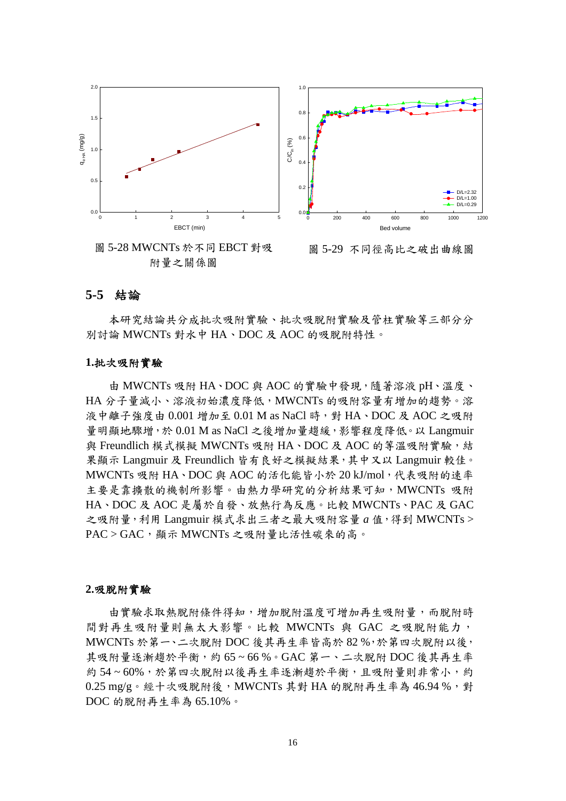

附量之關係圖

#### **5-5** 結論

本研究結論共分成批次吸附實驗、批次吸脫附實驗及管柱實驗等三部分分 別討論 MWCNTs 對水中 HA、DOC 及 AOC 的吸脫附特性。

#### **1.**批次吸附實驗

由 MWCNTs 吸附 HA、DOC 與 AOC 的實驗中發現,隨著溶液 pH、溫度、 HA 分子量減小、溶液初始濃度降低,MWCNTs 的吸附容量有增加的趨勢。溶 液中離子強度由 0.001 增加至 0.01 M as NaCl 時,對 HA、DOC 及 AOC 之吸附 量明顯地驟增,於 0.01 M as NaCl 之後增加量趨緩,影響程度降低。以 Langmuir 與 Freundlich 模式模擬 MWCNTs 吸附 HA、DOC 及 AOC 的等溫吸附實驗,結 果顯示 Langmuir 及 Freundlich 皆有良好之模擬結果,其中又以 Langmuir 較佳。 MWCNTs 吸附 HA、DOC 與 AOC 的活化能皆小於 20 kJ/mol,代表吸附的速率 主要是靠擴散的機制所影響。由熱力學研究的分析結果可知,MWCNTs 吸附 HA、DOC 及 AOC 是屬於自發、放熱行為反應。比較 MWCNTs、PAC 及 GAC 之吸附量,利用 Langmuir 模式求出三者之最大吸附容量 *a* 值,得到 MWCNTs > PAC > GAC, 顯示 MWCNTs 之吸附量比活性碳來的高。

#### **2.**吸脫附實驗

由實驗求取熱脫附條件得知,增加脫附溫度可增加再生吸附量,而脫附時 間對再生吸附量則無太大影響。比較 MWCNTs 與 GAC 之吸脫附能力, MWCNTs 於第一、二次脫附 DOC 後其再生率皆高於 82 %,於第四次脫附以後, 其吸附量逐漸趨於平衡,約 65~66%。GAC 第一、二次脫附 DOC 後其再生率 約 54~60%,於第四次脫附以後再生率逐漸趨於平衡,且吸附量則非常小,約  $0.25$  mg/g。經十次吸脫附後, MWCNTs 其對 HA 的脫附再生率為 46.94%,對 DOC 的脫附再生率為 65.10%。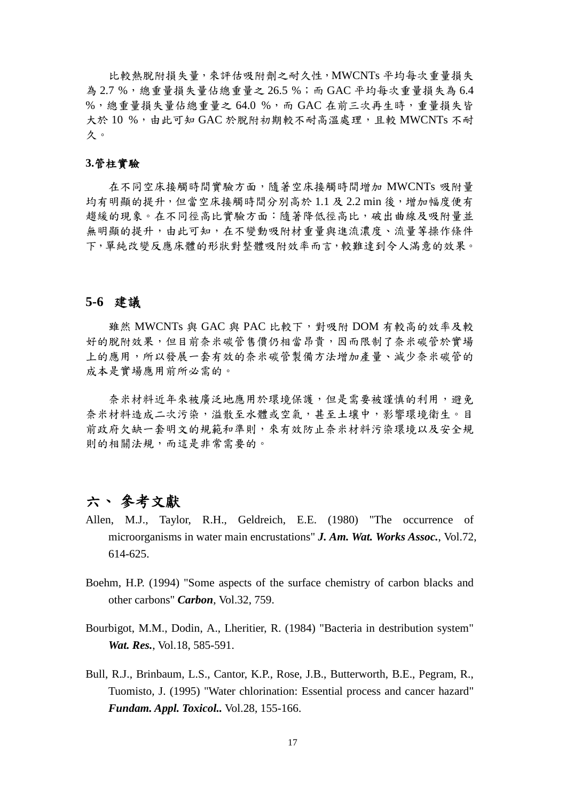比較熱脫附損失量,來評估吸附劑之耐久性,MWCNTs 平均每次重量損失 為 2.7 %,總重量損失量佔總重量之 26.5 %;而 GAC 平均每次重量損失為 6.4 %,總重量損失量佔總重量之 64.0 %,而 GAC 在前三次再生時,重量損失皆 大於 10 %,由此可知 GAC 於脫附初期較不耐高溫處理,且較 MWCNTs 不耐 久。

#### **3.**管柱實驗

在不同空床接觸時間實驗方面,隨著空床接觸時間增加 MWCNTs 吸附量 均有明顯的提升,但當空床接觸時間分別高於 1.1 及 2.2 min 後,增加幅度便有 趨緩的現象。在不同徑高比實驗方面:隨著降低徑高比,破出曲線及吸附量並 無明顯的提升,由此可知,在不變動吸附材重量與進流濃度、流量等操作條件 下,單純改變反應床體的形狀對整體吸附效率而言,較難達到令人滿意的效果。

#### **5-6** 建議

雖然 MWCNTs 與 GAC 與 PAC 比較下,對吸附 DOM 有較高的效率及較 好的脫附效果,但目前奈米碳管售價仍相當昂貴,因而限制了奈米碳管於實場 上的應用,所以發展一套有效的奈米碳管製備方法增加產量、減少奈米碳管的 成本是實場應用前所必需的。

奈米材料近年來被廣泛地應用於環境保護,但是需要被謹慎的利用,避免 奈米材料造成二次污染,溢散至水體或空氣,甚至土壤中,影響環境衛生。目 前政府欠缺一套明文的規範和準則,來有效防止奈米材料污染環境以及安全規 則的相關法規,而這是非常需要的。

## 六、 參考文獻

- Allen, M.J., Taylor, R.H., Geldreich, E.E. (1980) "The occurrence of microorganisms in water main encrustations" *J. Am. Wat. Works Assoc.*, Vol.72, 614-625.
- Boehm, H.P. (1994) "Some aspects of the surface chemistry of carbon blacks and other carbons" *Carbon*, Vol.32, 759.
- Bourbigot, M.M., Dodin, A., Lheritier, R. (1984) "Bacteria in destribution system" *Wat. Res.*, Vol.18, 585-591.
- Bull, R.J., Brinbaum, L.S., Cantor, K.P., Rose, J.B., Butterworth, B.E., Pegram, R., Tuomisto, J. (1995) "Water chlorination: Essential process and cancer hazard" *Fundam. Appl. Toxicol..* Vol.28, 155-166.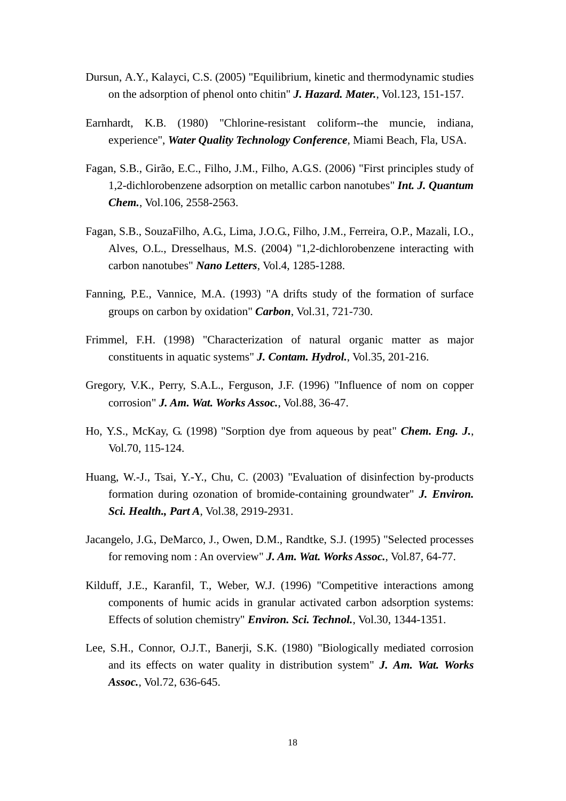- Dursun, A.Y., Kalayci, C.S. (2005) "Equilibrium, kinetic and thermodynamic studies on the adsorption of phenol onto chitin" *J. Hazard. Mater.*, Vol.123, 151-157.
- Earnhardt, K.B. (1980) "Chlorine-resistant coliform--the muncie, indiana, experience", *Water Quality Technology Conference*, Miami Beach, Fla, USA.
- Fagan, S.B., Girão, E.C., Filho, J.M., Filho, A.G.S. (2006) "First principles study of 1,2-dichlorobenzene adsorption on metallic carbon nanotubes" *Int. J. Quantum Chem.*, Vol.106, 2558-2563.
- Fagan, S.B., SouzaFilho, A.G., Lima, J.O.G., Filho, J.M., Ferreira, O.P., Mazali, I.O., Alves, O.L., Dresselhaus, M.S. (2004) "1,2-dichlorobenzene interacting with carbon nanotubes" *Nano Letters*, Vol.4, 1285-1288.
- Fanning, P.E., Vannice, M.A. (1993) "A drifts study of the formation of surface groups on carbon by oxidation" *Carbon*, Vol.31, 721-730.
- Frimmel, F.H. (1998) "Characterization of natural organic matter as major constituents in aquatic systems" *J. Contam. Hydrol.*, Vol.35, 201-216.
- Gregory, V.K., Perry, S.A.L., Ferguson, J.F. (1996) "Influence of nom on copper corrosion" *J. Am. Wat. Works Assoc.*, Vol.88, 36-47.
- Ho, Y.S., McKay, G. (1998) "Sorption dye from aqueous by peat" *Chem. Eng. J.*, Vol.70, 115-124.
- Huang, W.-J., Tsai, Y.-Y., Chu, C. (2003) "Evaluation of disinfection by-products formation during ozonation of bromide-containing groundwater" *J. Environ. Sci. Health., Part A*, Vol.38, 2919-2931.
- Jacangelo, J.G., DeMarco, J., Owen, D.M., Randtke, S.J. (1995) "Selected processes for removing nom : An overview" *J. Am. Wat. Works Assoc.*, Vol.87, 64-77.
- Kilduff, J.E., Karanfil, T., Weber, W.J. (1996) "Competitive interactions among components of humic acids in granular activated carbon adsorption systems: Effects of solution chemistry" *Environ. Sci. Technol.*, Vol.30, 1344-1351.
- Lee, S.H., Connor, O.J.T., Banerji, S.K. (1980) "Biologically mediated corrosion and its effects on water quality in distribution system" *J. Am. Wat. Works Assoc.*, Vol.72, 636-645.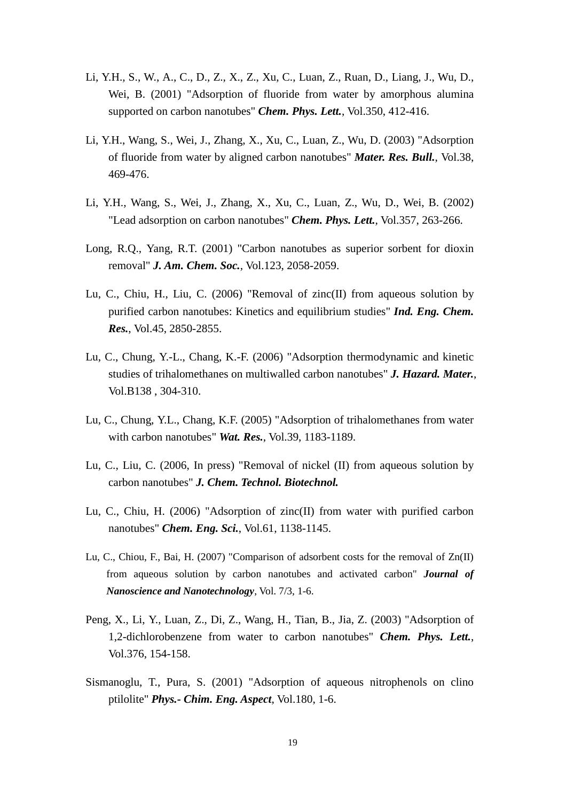- Li, Y.H., S., W., A., C., D., Z., X., Z., Xu, C., Luan, Z., Ruan, D., Liang, J., Wu, D., Wei, B. (2001) "Adsorption of fluoride from water by amorphous alumina supported on carbon nanotubes" *Chem. Phys. Lett.*, Vol.350, 412-416.
- Li, Y.H., Wang, S., Wei, J., Zhang, X., Xu, C., Luan, Z., Wu, D. (2003) "Adsorption of fluoride from water by aligned carbon nanotubes" *Mater. Res. Bull.*, Vol.38, 469-476.
- Li, Y.H., Wang, S., Wei, J., Zhang, X., Xu, C., Luan, Z., Wu, D., Wei, B. (2002) "Lead adsorption on carbon nanotubes" *Chem. Phys. Lett.*, Vol.357, 263-266.
- Long, R.Q., Yang, R.T. (2001) "Carbon nanotubes as superior sorbent for dioxin removal" *J. Am. Chem. Soc.*, Vol.123, 2058-2059.
- Lu, C., Chiu, H., Liu, C. (2006) "Removal of zinc(II) from aqueous solution by purified carbon nanotubes: Kinetics and equilibrium studies" *Ind. Eng. Chem. Res.*, Vol.45, 2850-2855.
- Lu, C., Chung, Y.-L., Chang, K.-F. (2006) "Adsorption thermodynamic and kinetic studies of trihalomethanes on multiwalled carbon nanotubes" *J. Hazard. Mater.*, Vol.B138 , 304-310.
- Lu, C., Chung, Y.L., Chang, K.F. (2005) "Adsorption of trihalomethanes from water with carbon nanotubes" *Wat. Res.*, Vol.39, 1183-1189.
- Lu, C., Liu, C. (2006, In press) "Removal of nickel (II) from aqueous solution by carbon nanotubes" *J. Chem. Technol. Biotechnol.*
- Lu, C., Chiu, H. (2006) "Adsorption of zinc(II) from water with purified carbon nanotubes" *Chem. Eng. Sci.*, Vol.61, 1138-1145.
- Lu, C., Chiou, F., Bai, H. (2007) "Comparison of adsorbent costs for the removal of Zn(II) from aqueous solution by carbon nanotubes and activated carbon" *Journal of Nanoscience and Nanotechnology*, Vol. 7/3, 1-6.
- Peng, X., Li, Y., Luan, Z., Di, Z., Wang, H., Tian, B., Jia, Z. (2003) "Adsorption of 1,2-dichlorobenzene from water to carbon nanotubes" *Chem. Phys. Lett.*, Vol.376, 154-158.
- Sismanoglu, T., Pura, S. (2001) "Adsorption of aqueous nitrophenols on clino ptilolite" *Phys.- Chim. Eng. Aspect*, Vol.180, 1-6.